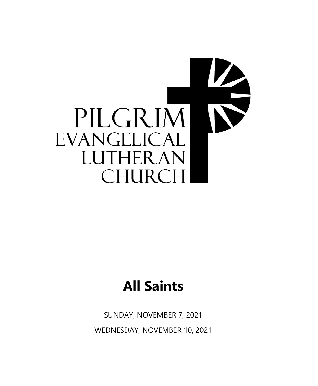

# **All Saints**

SUNDAY, NOVEMBER 7, 2021 WEDNESDAY, NOVEMBER 10, 2021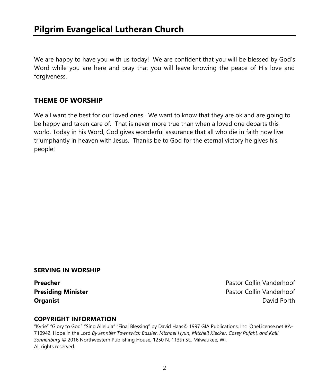We are happy to have you with us today! We are confident that you will be blessed by God's Word while you are here and pray that you will leave knowing the peace of His love and forgiveness.

### **THEME OF WORSHIP**

We all want the best for our loved ones. We want to know that they are ok and are going to be happy and taken care of. That is never more true than when a loved one departs this world. Today in his Word, God gives wonderful assurance that all who die in faith now live triumphantly in heaven with Jesus. Thanks be to God for the eternal victory he gives his people!

#### **SERVING IN WORSHIP**

**Preacher Preacher Pastor Collin Vanderhoof Presiding Minister Pastor Collin Vanderhoof Organist** David Porth David Porth David Porth David Porth David Porth David Porth David Porth David Porth David Porth David Porth David Porth David Porth David Porth David Porth David Porth David Porth David Porth David P

#### **COPYRIGHT INFORMATION**

"Kyrie" "Glory to God" "Sing Alleluia" "Final Blessing" by David Haas© 1997 GIA Publications, Inc OneLicense.net #A-710942. Hope in the Lord *By Jennifer Townswick Bassler, Michael Hyun, Mitchell Kiecker, Casey Pufahl, and Kalli Sonnenburg* © 2016 Northwestern Publishing House, 1250 N. 113th St., Milwaukee, WI. All rights reserved.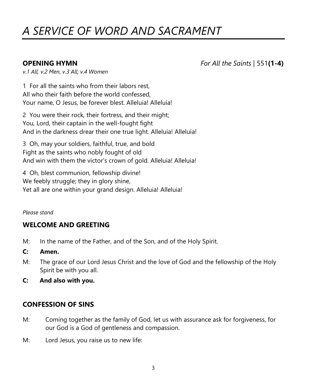## *A SERVICE OF WORD AND SACRAMENT*

**OPENING HYMN** *For All the Saints |* 551**(1-4)**

*v.1 All, v.2 Men, v.3 All, v.4 Women*

1 For all the saints who from their labors rest, All who their faith before the world confessed, Your name, O Jesus, be forever blest. Alleluia! Alleluia!

2 You were their rock, their fortress, and their might; You, Lord, their captain in the well-fought fight And in the darkness drear their one true light. Alleluia! Alleluia!

3 Oh, may your soldiers, faithful, true, and bold Fight as the saints who nobly fought of old And win with them the victor's crown of gold. Alleluia! Alleluia!

4 Oh, blest communion, fellowship divine! We feebly struggle; they in glory shine, Yet all are one within your grand design. Alleluia! Alleluia!

#### *Please stand*

### **WELCOME AND GREETING**

- M: In the name of the Father, and of the Son, and of the Holy Spirit.
- **C: Amen.**
- M: The grace of our Lord Jesus Christ and the love of God and the fellowship of the Holy Spirit be with you all.
- **C: And also with you.**

### **CONFESSION OF SINS**

- M: Coming together as the family of God, let us with assurance ask for forgiveness, for our God is a God of gentleness and compassion.
- M: Lord Jesus, you raise us to new life: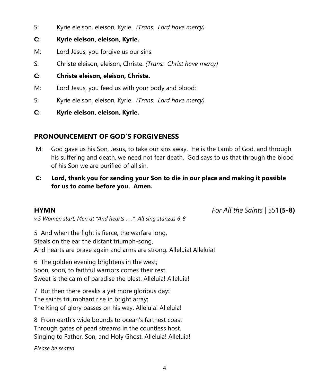S: Kyrie eleison, eleison, Kyrie. *(Trans: Lord have mercy)*

#### **C: Kyrie eleison, eleison, Kyrie.**

- M: Lord Jesus, you forgive us our sins:
- S: Christe eleison, eleison, Christe. *(Trans: Christ have mercy)*
- **C: Christe eleison, eleison, Christe.**
- M: Lord Jesus, you feed us with your body and blood:
- S: Kyrie eleison, eleison, Kyrie. *(Trans: Lord have mercy)*
- **C: Kyrie eleison, eleison, Kyrie.**

### **PRONOUNCEMENT OF GOD'S FORGIVENESS**

- M: God gave us his Son, Jesus, to take our sins away. He is the Lamb of God, and through his suffering and death, we need not fear death. God says to us that through the blood of his Son we are purified of all sin.
- **C: Lord, thank you for sending your Son to die in our place and making it possible for us to come before you. Amen.**

**HYMN** *For All the Saints* | 551**(5-8)**

*v.5 Women start, Men at "And hearts . . .", All sing stanzas 6-8* 

5 And when the fight is fierce, the warfare long, Steals on the ear the distant triumph-song, And hearts are brave again and arms are strong. Alleluia! Alleluia!

6 The golden evening brightens in the west; Soon, soon, to faithful warriors comes their rest. Sweet is the calm of paradise the blest. Alleluia! Alleluia!

7 But then there breaks a yet more glorious day: The saints triumphant rise in bright array; The King of glory passes on his way. Alleluia! Alleluia!

8 From earth's wide bounds to ocean's farthest coast Through gates of pearl streams in the countless host, Singing to Father, Son, and Holy Ghost. Alleluia! Alleluia!

*Please be seated*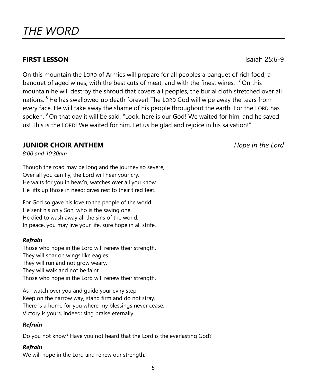### **FIRST LESSON** Isaiah 25:6-9

On this mountain the LORD of Armies will prepare for all peoples a banquet of rich food, a banquet of aged wines, with the best cuts of meat, and with the finest wines.  $7$  On this mountain he will destroy the shroud that covers all peoples, the burial cloth stretched over all nations. <sup>8</sup> He has swallowed up death forever! The LORD God will wipe away the tears from every face. He will take away the shame of his people throughout the earth. For the LORD has spoken. <sup>9</sup> On that day it will be said, "Look, here is our God! We waited for him, and he saved us! This is the LORD! We waited for him. Let us be glad and rejoice in his salvation!"

#### **JUNIOR CHOIR ANTHEM** *Hope in the Lord*

*8:00 and 10:30am*

Though the road may be long and the journey so severe, Over all you can fly; the Lord will hear your cry. He waits for you in heav'n, watches over all you know. He lifts up those in need; gives rest to their tired feet.

For God so gave his love to the people of the world. He sent his only Son, who is the saving one. He died to wash away all the sins of the world. In peace, you may live your life, sure hope in all strife.

#### *Refrain*

Those who hope in the Lord will renew their strength. They will soar on wings like eagles. They will run and not grow weary. They will walk and not be faint. Those who hope in the Lord will renew their strength.

As I watch over you and guide your ev'ry step, Keep on the narrow way, stand firm and do not stray. There is a home for you where my blessings never cease. Victory is yours, indeed; sing praise eternally.

#### *Refrain*

Do you not know? Have you not heard that the Lord is the everlasting God?

#### *Refrain*

We will hope in the Lord and renew our strength.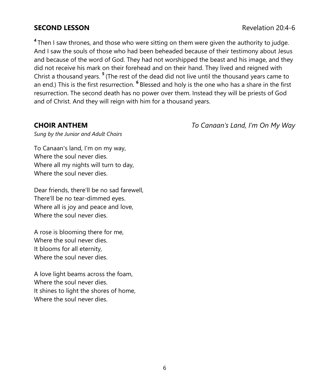#### **SECOND LESSON Revelation 20:4-6**

**4** Then I saw thrones, and those who were sitting on them were given the authority to judge. And I saw the souls of those who had been beheaded because of their testimony about Jesus and because of the word of God. They had not worshipped the beast and his image, and they did not receive his mark on their forehead and on their hand. They lived and reigned with Christ a thousand years. **<sup>5</sup>** (The rest of the dead did not live until the thousand years came to an end.) This is the first resurrection. **<sup>6</sup>** Blessed and holy is the one who has a share in the first resurrection. The second death has no power over them. Instead they will be priests of God and of Christ. And they will reign with him for a thousand years.

**CHOIR ANTHEM** *To Canaan's Land, I'm On My Way*

*Sung by the Junior and Adult Choirs*

To Canaan's land, I'm on my way, Where the soul never dies. Where all my nights will turn to day, Where the soul never dies.

Dear friends, there'll be no sad farewell, There'll be no tear-dimmed eyes. Where all is joy and peace and love, Where the soul never dies.

A rose is blooming there for me, Where the soul never dies. It blooms for all eternity, Where the soul never dies.

A love light beams across the foam, Where the soul never dies. It shines to light the shores of home, Where the soul never dies.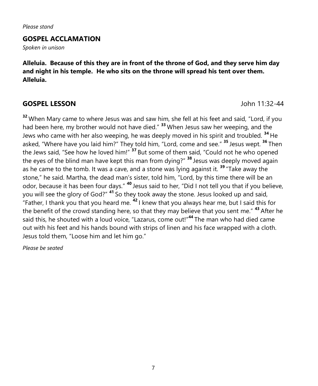*Please stand*

#### **GOSPEL ACCLAMATION**

*Spoken in unison*

**Alleluia. Because of this they are in front of the throne of God, and they serve him day and night in his temple. He who sits on the throne will spread his tent over them. Alleluia.**

#### **GOSPEL LESSON** John 11:32-44

**<sup>32</sup>** When Mary came to where Jesus was and saw him, she fell at his feet and said, "Lord, if you had been here, my brother would not have died." **<sup>33</sup>** When Jesus saw her weeping, and the Jews who came with her also weeping, he was deeply moved in his spirit and troubled. **<sup>34</sup>** He asked, "Where have you laid him?" They told him, "Lord, come and see." **<sup>35</sup>** Jesus wept. **<sup>36</sup>** Then the Jews said, "See how he loved him!" **<sup>37</sup>** But some of them said, "Could not he who opened the eyes of the blind man have kept this man from dying?" **<sup>38</sup>** Jesus was deeply moved again as he came to the tomb. It was a cave, and a stone was lying against it. **<sup>39</sup>** "Take away the stone," he said. Martha, the dead man's sister, told him, "Lord, by this time there will be an odor, because it has been four days." **<sup>40</sup>** Jesus said to her, "Did I not tell you that if you believe, you will see the glory of God?" **<sup>41</sup>** So they took away the stone. Jesus looked up and said, "Father, I thank you that you heard me. **<sup>42</sup>** I knew that you always hear me, but I said this for the benefit of the crowd standing here, so that they may believe that you sent me." **<sup>43</sup>** After he said this, he shouted with a loud voice, "Lazarus, come out!"**<sup>44</sup>** The man who had died came out with his feet and his hands bound with strips of linen and his face wrapped with a cloth. Jesus told them, "Loose him and let him go."

*Please be seated*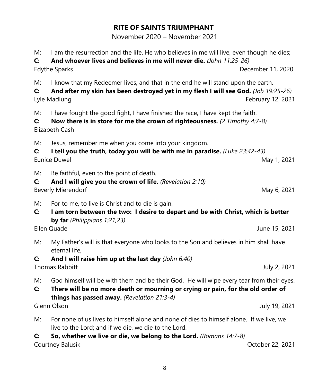#### **RITE OF SAINTS TRIUMPHANT**

November 2020 – November 2021

M: I am the resurrection and the life. He who believes in me will live, even though he dies;

**C: And whoever lives and believes in me will never die.** *(John 11:25-26)* Edythe Sparks December 11, 2020

M: I know that my Redeemer lives, and that in the end he will stand upon the earth.

**C: And after my skin has been destroyed yet in my flesh I will see God.** *(Job 19:25-26)* Lyle Madlung February 12, 2021

M: I have fought the good fight, I have finished the race, I have kept the faith.

**C: Now there is in store for me the crown of righteousness.** *(2 Timothy 4:7-8)* Elizabeth Cash

M: Jesus, remember me when you come into your kingdom.

**C: I tell you the truth, today you will be with me in paradise.** *(Luke 23:42-43)* Eunice Duwel **May 1, 2021** 

M: Be faithful, even to the point of death.

- **C: And I will give you the crown of life.** *(Revelation 2:10)* Beverly Mierendorf **May 6, 2021**
- M: For to me, to live is Christ and to die is gain.
- **C: I am torn between the two: I desire to depart and be with Christ, which is better by far** *(Philippians 1:21,23)*

Ellen Quade June 15, 2021

- M: My Father's will is that everyone who looks to the Son and believes in him shall have eternal life,
- **C: And I will raise him up at the last day** *(John 6:40)*

Thomas Rabbitt July 2, 2021

- M: God himself will be with them and be their God. He will wipe every tear from their eyes.
- **C: There will be no more death or mourning or crying or pain, for the old order of things has passed away.** *(Revelation 21:3-4)*

Glenn Olson July 19, 2021

- M: For none of us lives to himself alone and none of dies to himself alone. If we live, we live to the Lord; and if we die, we die to the Lord.
- **C: So, whether we live or die, we belong to the Lord.** *(Romans 14:7-8)*

Courtney Balusik Courtney Balusik Courtney Balusik Courtney Balusik Courtney Balusik Courtney Details and Details Courtney of the Courtney of the Courtney of the Courtney of the Courtney of the Courtney of the Courtney of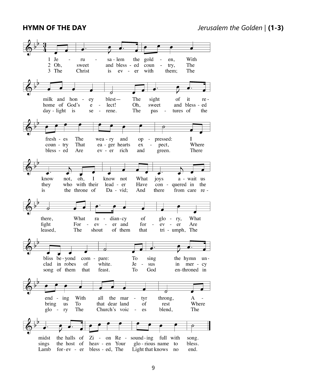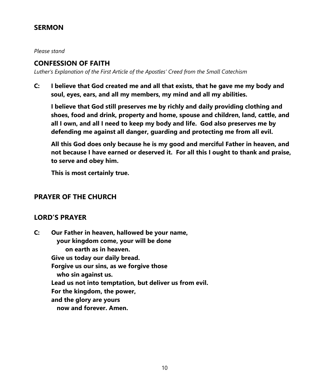#### **SERMON**

*Please stand*

#### **CONFESSION OF FAITH**

*Luther's Explanation of the First Article of the Apostles' Creed from the Small Catechism* 

**C: I believe that God created me and all that exists, that he gave me my body and soul, eyes, ears, and all my members, my mind and all my abilities.**

**I believe that God still preserves me by richly and daily providing clothing and shoes, food and drink, property and home, spouse and children, land, cattle, and all I own, and all I need to keep my body and life. God also preserves me by defending me against all danger, guarding and protecting me from all evil.**

**All this God does only because he is my good and merciful Father in heaven, and not because I have earned or deserved it. For all this I ought to thank and praise, to serve and obey him.**

**This is most certainly true.**

#### **PRAYER OF THE CHURCH**

#### **LORD'S PRAYER**

**C: Our Father in heaven, hallowed be your name, your kingdom come, your will be done on earth as in heaven. Give us today our daily bread. Forgive us our sins, as we forgive those who sin against us. Lead us not into temptation, but deliver us from evil. For the kingdom, the power, and the glory are yours now and forever. Amen.**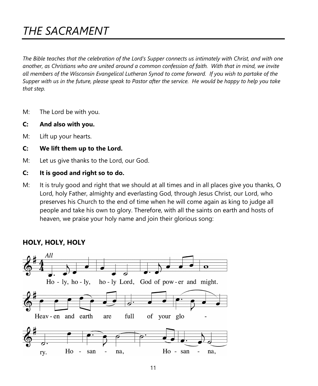## *THE SACRAMENT*

*The Bible teaches that the celebration of the Lord's Supper connects us intimately with Christ, and with one another, as Christians who are united around a common confession of faith. With that in mind, we invite all members of the Wisconsin Evangelical Lutheran Synod to come forward. If you wish to partake of the Supper with us in the future, please speak to Pastor after the service. He would be happy to help you take that step.*

- M: The Lord be with you.
- **C: And also with you.**
- M: Lift up your hearts.
- **C: We lift them up to the Lord.**
- M: Let us give thanks to the Lord, our God.
- **C: It is good and right so to do.**
- M: It is truly good and right that we should at all times and in all places give you thanks, O Lord, holy Father, almighty and everlasting God, through Jesus Christ, our Lord, who preserves his Church to the end of time when he will come again as king to judge all people and take his own to glory. Therefore, with all the saints on earth and hosts of heaven, we praise your holy name and join their glorious song:



#### **HOLY, HOLY, HOLY**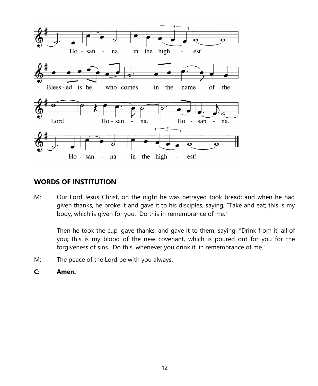

#### **WORDS OF INSTITUTION**

M: Our Lord Jesus Christ, on the night he was betrayed took bread; and when he had given thanks, he broke it and gave it to his disciples, saying, "Take and eat; this is my body, which is given for you. Do this in remembrance of me."

Then he took the cup, gave thanks, and gave it to them, saying, "Drink from it, all of you; this is my blood of the new covenant, which is poured out for you for the forgiveness of sins. Do this, whenever you drink it, in remembrance of me."

- M: The peace of the Lord be with you always.
- **C: Amen.**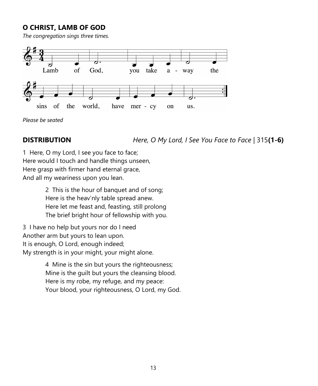### **O CHRIST, LAMB OF GOD**

*The congregation sings three times.*



*Please be seated*

**DISTRIBUTION** *Here, O My Lord, I See You Face to Face* | 315**(1-6)**

1 Here, O my Lord, I see you face to face; Here would I touch and handle things unseen, Here grasp with firmer hand eternal grace, And all my weariness upon you lean.

> 2 This is the hour of banquet and of song; Here is the heav'nly table spread anew. Here let me feast and, feasting, still prolong The brief bright hour of fellowship with you.

3 I have no help but yours nor do I need Another arm but yours to lean upon. It is enough, O Lord, enough indeed; My strength is in your might, your might alone.

> 4 Mine is the sin but yours the righteousness; Mine is the guilt but yours the cleansing blood. Here is my robe, my refuge, and my peace: Your blood, your righteousness, O Lord, my God.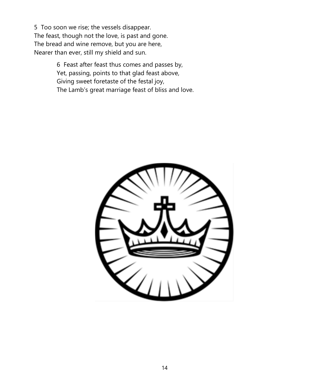5 Too soon we rise; the vessels disappear. The feast, though not the love, is past and gone. The bread and wine remove, but you are here, Nearer than ever, still my shield and sun.

> 6 Feast after feast thus comes and passes by, Yet, passing, points to that glad feast above, Giving sweet foretaste of the festal joy, The Lamb's great marriage feast of bliss and love.

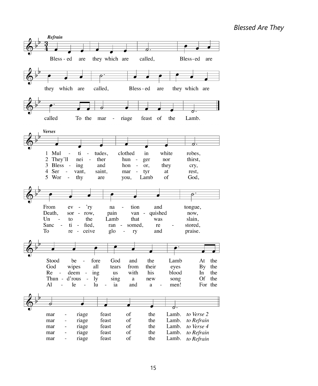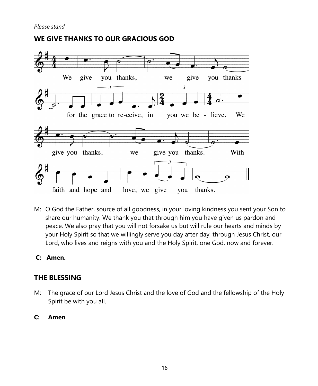

### **WE GIVE THANKS TO OUR GRACIOUS GOD**

- M: O God the Father, source of all goodness, in your loving kindness you sent your Son to share our humanity. We thank you that through him you have given us pardon and peace. We also pray that you will not forsake us but will rule our hearts and minds by your Holy Spirit so that we willingly serve you day after day, through Jesus Christ, our Lord, who lives and reigns with you and the Holy Spirit, one God, now and forever.
- **C: Amen.**

#### **THE BLESSING**

- M:The grace of our Lord Jesus Christ and the love of God and the fellowship of the Holy Spirit be with you all.
- **C: Amen**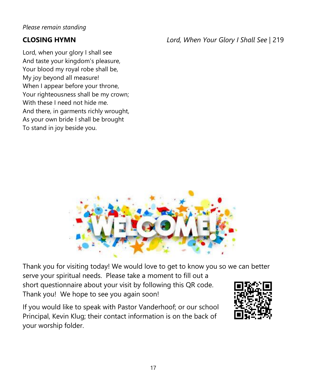*Please remain standing*

Lord, when your glory I shall see And taste your kingdom's pleasure, Your blood my royal robe shall be, My joy beyond all measure! When I appear before your throne, Your righteousness shall be my crown; With these I need not hide me. And there, in garments richly wrought, As your own bride I shall be brought To stand in joy beside you.

**CLOSING HYMN** *Lord, When Your Glory I Shall See |* 219



Thank you for visiting today! We would love to get to know you so we can better serve your spiritual needs. Please take a moment to fill out a short questionnaire about your visit by following this QR code. Thank you! We hope to see you again soon!

If you would like to speak with Pastor Vanderhoof; or our school Principal, Kevin Klug; their contact information is on the back of your worship folder.

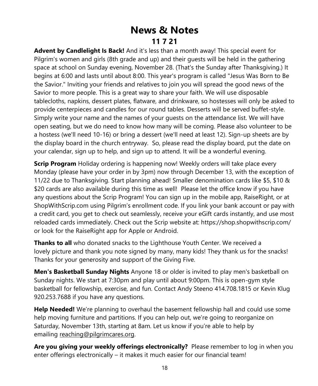## **News & Notes 11 7 21**

**Advent by Candlelight Is Back!** And it's less than a month away! This special event for Pilgrim's women and girls (8th grade and up) and their guests will be held in the gathering space at school on Sunday evening, November 28. (That's the Sunday after Thanksgiving.) It begins at 6:00 and lasts until about 8:00. This year's program is called "Jesus Was Born to Be the Savior." Inviting your friends and relatives to join you will spread the good news of the Savior to more people. This is a great way to share your faith. We will use disposable tablecloths, napkins, dessert plates, flatware, and drinkware, so hostesses will only be asked to provide centerpieces and candles for our round tables. Desserts will be served buffet-style. Simply write your name and the names of your guests on the attendance list. We will have open seating, but we do need to know how many will be coming. Please also volunteer to be a hostess (we'll need 10-16) or bring a dessert (we'll need at least 12). Sign-up sheets are by the display board in the church entryway. So, please read the display board, put the date on your calendar, sign up to help, and sign up to attend. It will be a wonderful evening.

**Scrip Program** Holiday ordering is happening now! Weekly orders will take place every Monday (please have your order in by 3pm) now through December 13, with the exception of 11/22 due to Thanksgiving. Start planning ahead! Smaller denomination cards like \$5, \$10 & \$20 cards are also available during this time as well! Please let the office know if you have any questions about the Scrip Program! You can sign up in the mobile app, RaiseRight, or at ShopWithScrip.com using Pilgrim's enrollment code. If you link your bank account or pay with a credit card, you get to check out seamlessly, receive your eGift cards instantly, and use most reloaded cards immediately. Check out the Scrip website at: https://shop.shopwithscrip.com/ or look for the RaiseRight app for Apple or Android.

**Thanks to all** who donated snacks to the Lighthouse Youth Center. We received a lovely picture and thank you note signed by many, many kids! They thank us for the snacks! Thanks for your generosity and support of the Giving Five.

**Men's Basketball Sunday Nights** Anyone 18 or older is invited to play men's basketball on Sunday nights. We start at 7:30pm and play until about 9:00pm. This is open-gym style basketball for fellowship, exercise, and fun. Contact Andy Steeno 414.708.1815 or Kevin Klug 920.253.7688 if you have any questions.

**Help Needed!** We're planning to overhaul the basement fellowship hall and could use some help moving furniture and partitions. If you can help out, we're going to reorganize on Saturday, November 13th, starting at 8am. Let us know if you're able to help by emailing [reaching@pilgrimcares.org.](mailto:reaching@pilgrimcares.org)

**Are you giving your weekly offerings electronically?** Please remember to log in when you enter offerings electronically – it makes it much easier for our financial team!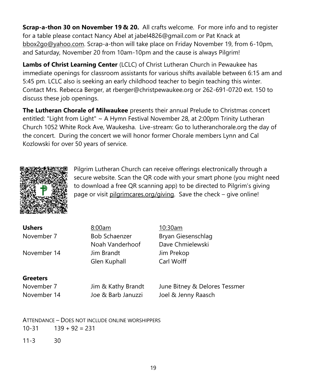**Scrap-a-thon 30 on November 19 & 20.** All crafts welcome. For more info and to register for a table please contact Nancy Abel at jabel4826@gmail.com or Pat Knack at [bbox2go@yahoo.com.](mailto:bbox2go@yahoo.com) Scrap-a-thon will take place on Friday November 19, from 6-10pm, and Saturday, November 20 from 10am-10pm and the cause is always Pilgrim!

**Lambs of Christ Learning Center** (LCLC) of Christ Lutheran Church in Pewaukee has immediate openings for classroom assistants for various shifts available between 6:15 am and 5:45 pm. LCLC also is seeking an early childhood teacher to begin teaching this winter. Contact Mrs. Rebecca Berger, at rberger@christpewaukee.org or 262-691-0720 ext. 150 to discuss these job openings.

**The Lutheran Chorale of Milwaukee** presents their annual Prelude to Christmas concert entitled: "Light from Light" ~ A Hymn Festival November 28, at 2:00pm Trinity Lutheran Church 1052 White Rock Ave, Waukesha. Live-stream: Go to lutheranchorale.org the day of the concert. During the concert we will honor former Chorale members Lynn and Cal Kozlowski for over 50 years of service.



Pilgrim Lutheran Church can receive offerings electronically through a secure website. Scan the QR code with your smart phone (you might need to download a free QR scanning app) to be directed to Pilgrim's giving page or visit [pilgrimcares.org/](http://pilgrimcares.org/)giving. Save the check - give online!

| 8:00am               | 10:30am                       |
|----------------------|-------------------------------|
| <b>Bob Schaenzer</b> | Bryan Giesenschlag            |
| Noah Vanderhoof      | Dave Chmielewski              |
| Jim Brandt           | Jim Prekop                    |
| Glen Kuphall         | Carl Wolff                    |
|                      |                               |
| Jim & Kathy Brandt   | June Bitney & Delores Tessmer |
| Joe & Barb Januzzi   | Joel & Jenny Raasch           |
|                      |                               |

ATTENDANCE – DOES NOT INCLUDE ONLINE WORSHIPPERS  $10-31$   $139 + 92 = 231$ 

11-3 30